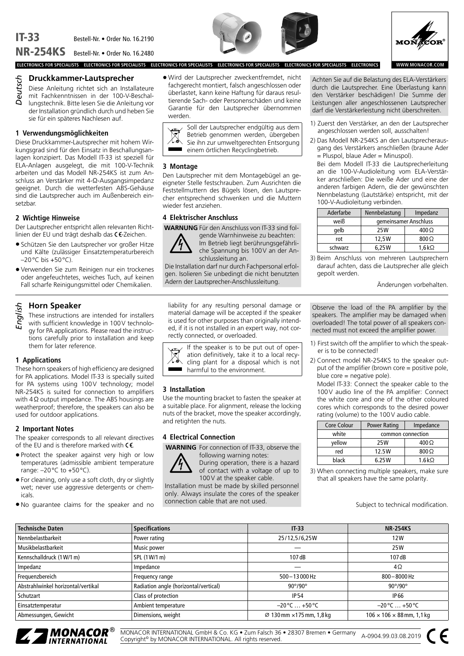

$$
\frac{1}{\text{MOK}^2}
$$

WWW.MONACOR.COM

**ELECTRONICS FOR SPECIALISTS ELECTRONICS FOR SPECIALISTS ELECTRONICS FOR SPECIALISTS ELECTRONICS FOR SPECIALISTS ELECTRONICS FOR SPECIALISTS ELECTRONICS**

#### **Druckkammer-Lautsprecher**

Diese Anleitung richtet sich an Installateure mit Fachkenntnissen in der 100-V-Beschallungstechnik. Bitte lesen Sie die Anleitung vor der Installation gründlich durch und heben Sie sie für ein späteres Nachlesen auf. *Deutsch*

#### **1 Verwendungsmöglichkeiten**

Diese Druckkammer-Lautsprecher mit hohem Wirkungsgrad sind für den Einsatz in Beschallungsanlagen konzipiert. Das Modell IT-33 ist speziell für ELA-Anlagen ausgelegt, die mit 100-V-Technik arbeiten und das Modell NR-254KS ist zum Anschluss an Verstärker mit 4-Ω-Ausgangsimpedanz geeignet. Durch die wetterfesten ABS-Gehäuse sind die Lautsprecher auch im Außenbereich einsetzbar.

#### **2 Wichtige Hinweise**

Der Lautsprecher entspricht allen relevanten Richtlinien der EU und trägt deshalb das CC-Zeichen.

- Schützen Sie den Lautsprecher vor großer Hitze und Kälte (zulässiger Einsatztemperaturbereich  $-20$ °C bis +50°C).
- Verwenden Sie zum Reinigen nur ein trockenes oder angefeuchtetes, weiches Tuch, auf keinen Fall scharfe Reinigungsmittel oder Chemikalien.

# **Horn Speaker**

- These instructions are intended for installers
- with sufficient knowledge in 100V technology for PA applications. Please read the instructions carefully prior to installation and keep them for later reference. *English*

## **1 Applications**

These horn speakers of high efficiency are designed for PA applications. Model IT-33 is specially suited for PA systems using 100V technology; model NR-254KS is suited for connection to amplifiers with 4Ω output impedance. The ABS housings are weatherproof; therefore, the speakers can also be used for outdoor applications.

## **2 Important Notes**

The speaker corresponds to all relevant directives of the EU and is therefore marked with  $\mathsf{CE}$ .

- Protect the speaker against very high or low temperatures (admissible ambient temperature range: –20°C to +50°C).
- For cleaning, only use a soft cloth, dry or slightly wet; never use aggressive detergents or chemicals.
- No guarantee claims for the speaker and no

• Wird der Lautsprecher zweckentfremdet, nicht fachgerecht montiert, falsch angeschlossen oder überlastet, kann keine Haftung für daraus resultierende Sach- oder Personenschäden und keine Garantie für den Lautsprecher übernommen werden.



Soll der Lautsprecher endgültig aus dem Betrieb genommen werden, übergeben Sie ihn zur umweltgerechten Entsorgung einem örtlichen Recyclingbetrieb.

## **3 Montage**

Den Lautsprecher mit dem Montagebügel an geeigneter Stelle festschrauben. Zum Ausrichten die Feststellmuttern des Bügels lösen, den Lautsprecher entsprechend schwenken und die Muttern wieder fest anziehen.

## **4 Elektrischer Anschluss**

**WARNUNG** Für den Anschluss von IT-33 sind fol-



gende Warnhinweise zu beachten: Im Betrieb liegt berührungsgefährliche Spannung bis 100V an der Anschlussleitung an.

Die Installation darf nur durch Fachpersonal erfolgen. Isolieren Sie unbedingt die nicht benutzten Adern der Lautsprecher-Anschlussleitung.

liability for any resulting personal damage or material damage will be accepted if the speaker is used for other purposes than originally intended, if it is not installed in an expert way, not correctly connected, or overloaded.



If the speaker is to be put out of operation definitively, take it to a local recycling plant for a disposal which is not harmful to the environment.

## **3 Installation**

Use the mounting bracket to fasten the speaker at a suitable place. For alignment, release the locking nuts of the bracket, move the speaker accordingly, and retighten the nuts.

## **4 Electrical Connection**

**WARNING** For connection of IT-33, observe the



following warning notes: During operation, there is a hazard of contact with a voltage of up to 100V at the speaker cable.

Installation must be made by skilled personnel only. Always insulate the cores of the speaker connection cable that are not used.

Achten Sie auf die Belastung des ELA-Verstärkers durch die Lautsprecher. Eine Überlastung kann den Verstärker beschädigen! Die Summe der Leistungen aller angeschlossenen Lautsprecher darf die Verstärkerleistung nicht überschreiten.

- 1) Zuerst den Verstärker, an den der Lautsprecher angeschlossen werden soll, ausschalten!
- 2) Das Modell NR-254KS an den Lautsprecherausgang des Verstärkers anschließen (braune Ader = Pluspol, blaue Ader = Minuspol).

Bei dem Modell IT-33 die Lautsprecherleitung an die 100-V-Audioleitung vom ELA-Verstärker anschließen: Die weiße Ader und eine der anderen farbigen Adern, die der gewünschten Nennbelastung (Lautstärke) entspricht, mit der 100-V-Audioleitung verbinden.

| Aderfarbe | Nennbelastung         | Impedanz      |  |
|-----------|-----------------------|---------------|--|
| weiß      | gemeinsamer Anschluss |               |  |
| qelb      | 25W                   | $400\Omega$   |  |
| rot       | 12.5W                 | $800\Omega$   |  |
| schwarz   | 6.25W                 | $1.6 k\Omega$ |  |

3) Beim Anschluss von mehreren Lautsprechern darauf achten, dass die Lautsprecher alle gleich gepolt werden.

Änderungen vorbehalten.

Observe the load of the PA amplifier by the speakers. The amplifier may be damaged when overloaded! The total power of all speakers connected must not exceed the amplifier power.

- 1) First switch off the amplifier to which the speaker is to be connected!
- 2) Connect model NR-254KS to the speaker output of the amplifier (brown core = positive pole, blue core = negative pole).

Model IT-33: Connect the speaker cable to the 100V audio line of the PA amplifier: Connect the white core and one of the other coloured cores which corresponds to the desired power rating (volume) to the 100V audio cable.

| <b>Core Colour</b> | <b>Power Rating</b> | Impedance   |  |
|--------------------|---------------------|-------------|--|
| white              | common connection   |             |  |
| vellow             | 25W                 | $400\Omega$ |  |
| red                | 12.5W               | $800\Omega$ |  |
| black              | 6.25W               | 1.6kO       |  |

3) When connecting multiple speakers, make sure that all speakers have the same polarity.

## Subject to technical modification.

| <b>Technische Daten</b>            | <b>Specifications</b>                 | $IT-33$                                      | <b>NR-254KS</b>                       |
|------------------------------------|---------------------------------------|----------------------------------------------|---------------------------------------|
| Nennbelastbarkeit                  | Power rating                          | 25/12,5/6,25W                                | 12W                                   |
| Musikbelastbarkeit                 | Music power                           |                                              | 25W                                   |
| Kennschalldruck (1 W/1 m)          | SPL (1W/1 m)                          | 107dB                                        | 107dB                                 |
| Impedanz                           | Impedance                             |                                              | 4Ω                                    |
| Frequenzbereich                    | Frequency range                       | 500-13000 Hz                                 | $800 - 8000$ Hz                       |
| Abstrahlwinkel horizontal/vertikal | Radiation angle (horizontal/vertical) | $90^\circ/90^\circ$                          | $90^{\circ}/90^{\circ}$               |
| Schutzart                          | Class of protection                   | <b>IP54</b>                                  | <b>IP66</b>                           |
| Einsatztemperatur                  | Ambient temperature                   | $-20^{\circ}$ C $+50^{\circ}$ C              | $-20^{\circ}$ C $+50^{\circ}$ C       |
| Abmessungen, Gewicht               | Dimensions, weight                    | $\varnothing$ 130 mm $\times$ 175 mm, 1,8 kg | $106 \times 106 \times 88$ mm, 1,1 kg |



MONACOR INTERNATIONAL GmbH & Co. KG • Zum Falsch 36 • 28307 Bremen • Germany MONACOR INTERNATIONAL GMDH & Co. KG • Zum Falsch 36 • 28307 Bremen • Germany<br>Copyright® by MONACOR INTERNATIONAL. All rights reserved.

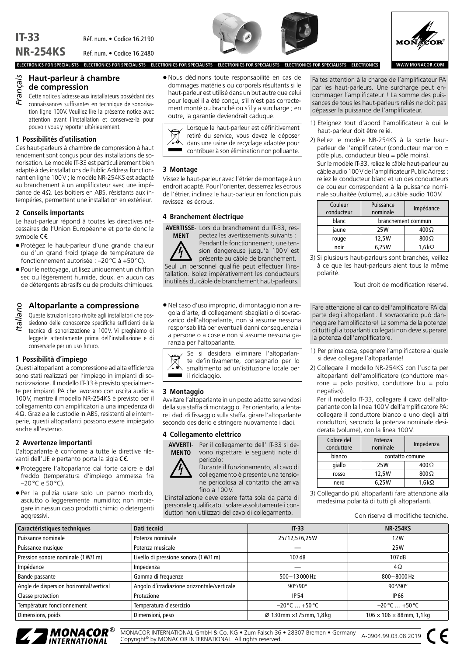

$$
\left\|\frac{1}{\sum_{i=1}^{n} \sum_{i=1}^{n} \sum_{j=1}^{n} \left(\frac{1}{\sum_{i=1}^{n} \left(\frac{1}{\sum_{i=1}^{n} \left(\frac{1}{\sum_{i=1}^{n} \left(\frac{1}{\sum_{i=1}^{n} \left(\frac{1}{\sum_{i=1}^{n} \left(\frac{1}{\sum_{i=1}^{n} \left(\frac{1}{\sum_{i=1}^{n} \left(\frac{1}{\sum_{i=1}^{n} \left(\frac{1}{\sum_{i=1}^{n} \left(\frac{1}{\sum_{i=1}^{n} \left(\frac{1}{\sum_{i=1}^{n} \left(\frac{1}{\sum_{i=1}^{n} \left(\frac{1}{\sum_{i=1}^{n} \left(\frac{1}{\sum_{i=1}^{n} \left(\frac{1}{\sum_{i=1}^{n} \left(\frac{1}{\sum_{i=1}^{n} \left(\frac{1}{\sum_{i=1}^{n} \left(\frac{1}{\sum_{i=1}^{n} \left(\frac{1}{\sum_{i=1}^{n} \left(\frac{1}{\sum_{i=1}^{n} \left(\frac{1}{\sum_{i=1}^{n} \left(\frac{1}{\sum_{i=1}^{n} \left(\frac{1}{\sum_{i=1}^{n} \left(\frac{1}{\sum_{i=1}^{n} \left(\frac{1}{\sum_{i=1}^{n} \left(\frac{1}{\sum_{i=1}^{n} \left(\frac{1}{\sum_{i=1}^{n} \left(\frac{1}{\sum_{i=1}^{n} \left(\frac{1}{\sum_{i=1}^{n} \left(\frac{1}{\sum_{i=1}^{n} \left(\frac{1}{\sum_{i=1}^{n} \left(\frac{1}{\sum_{i=1}^{n} \left(\frac{1}{\sum_{i=1}^{n} \left(\frac{1}{\sum_{i=1}^{n} \left(\frac{1}{\sum_{i=1}^{n} \left(\frac{1}{\sum_{i=1}^{n} \left(\frac{1}{\sum_{i=1}^{n} \left(\frac{1}{\sum_{i=1}^{n} \left(\frac{1}{\sum_{i=1}^{n} \left(\frac{1}{\sum_{i=1}^{n} \left(\frac{1}{\sum_{i=1}^{n} \left(\frac{1}{\sum_{i=1}^{n} \left(\frac{1}{\
$$

WWW.MONACOR.COM

**ELECTRONICS FOR SPECIALISTS ELECTRONICS FOR SPECIALISTS ELECTRONICS FOR SPECIALISTS ELECTRONICS FOR SPECIALISTS ELECTRONICS FOR SPECIALISTS ELECTRONICS**

# **Haut-parleur à chambre**

# **de compression**

Cette notice s'adresse aux installateurs possédant des connaissances suffisantes en technique de sonorisation ligne 100V. Veuillez lire la présente notice avec attention avant l'installation et conservez-la pour pouvoir vous y reporter ultérieurement. *Français*

## **1 Possibilités d'utilisation**

Ces haut-parleurs à chambre de compression à haut rendement sont conçus pour des installations de sonorisation. Le modèle IT-33 est particulièrement bien adapté à des installations de Public Address fonctionnant en ligne 100V ; le modèle NR-254KS est adapté au branchement à un amplificateur avec une impédance de 4Ω. Les boîtiers en ABS, résistants aux intempéries, permettent une installation en extérieur.

## **2 Conseils importants**

Le haut-parleur répond à toutes les directives nécessaires de l'Union Européenne et porte donc le symbole  $\epsilon$ 

- Protégez le haut-parleur d'une grande chaleur ou d'un grand froid (plage de température de fonctionnement autorisée : –20°C à +50°C).
- Pour le nettoyage, utilisez uniquement un chiffon sec ou légèrement humide, doux, en aucun cas de détergents abrasifs ou de produits chimiques.

# **Altoparlante a compressione**

- Queste istruzioni sono rivolte agli installatori che pos-
- siedono delle conoscenze specifiche sufficienti della tecnica di sonorizzazione a 100V. Vi preghiamo di leggerle attentamente prima dell'installazione e di conservarle per un uso futuro. *Italiano*

## **1 Possibilità d'impiego**

Questi altoparlanti a compressione ad alta efficienza sono stati realizzati per l'impiego in impianti di sonorizzazione. Il modello IT-33 è previsto specialmente per impianti PA che lavorano con uscita audio a 100V, mentre il modello NR-254KS è previsto per il collegamento con amplificatori a una impedenza di 4Ω. Grazie alle custodie in ABS, resistenti alle intemperie, questi altoparlanti possono essere impiegato anche all'esterno.

## **2 Avvertenze importanti**

L'altoparlante è conforme a tutte le direttive rilevanti dell'UE e pertanto porta la sigla  $\mathsf{CE}$ .

- Proteggere l'altoparlante dal forte calore e dal freddo (temperatura d'impiego ammessa fra  $-20$ °C e 50°C).
- Per la pulizia usare solo un panno morbido, asciutto o leggeremente inumidito; non impiegare in nessun caso prodotti chimici o detergenti aggressivi.

• Nous déclinons toute responsabilité en cas de dommages matériels ou corporels résultants si le haut-parleur est utilisé dans un but autre que celui pour lequel il a été conçu, s'il n'est pas correctement monté ou branché ou s'il y a surcharge ; en outre, la garantie deviendrait caduque.



## **3 Montage**

Vissez le haut-parleur avec l'étrier de montage à un endroit adapté. Pour l'orienter, desserrez les écrous de l'étrier, inclinez le haut-parleur en fonction puis revissez les écrous.

# **4 Branchement électrique**

**AVERTISSE-**Lors du branchement du IT-33, res-**MENT** pectez les avertissements suivants :



Pendant le fonctionnement, une tension dangereuse jusqu'à 100V est présente au câble de branchement.

Seul un personnel qualifié peut effectuer l'installation. Isolez impérativement les conducteurs inutilisés du câble de branchement haut-parleurs.

• Nel caso d'uso improprio, di montaggio non a regola d'arte, di collegamenti sbagliati o di sovraccarico dell'altoparlante, non si assume nessuna responsabilità per eventuali danni consequenziali a persone o a cose e non si assume nessuna garanzia per l'altoparlante.

Se si desidera eliminare l'altoparlante definitivamente, consegnarlo per lo smaltimento ad un'istituzione locale per li riciclaggio.

## **3 Montaggio**

Avvitare l'altoparlante in un posto adatto servendosi della sua staffa di montaggio. Per orientarlo, allentare i dadi di fissaggio sulla staffa, girare l'altoparlante secondo desiderio e stringere nuovamente i dadi.

#### **4 Collegamento elettrico**





Durante il funzionamento, al cavo di collegamento è presente una tensione pericolosa al contatto che arriva fino a 100V.

L'installazione deve essere fatta sola da parte di personale qualificato. Isolare assolutamente i conduttori non utilizzati del cavo di collegamento.

Faites attention à la charge de l'amplificateur PA par les haut-parleurs. Une surcharge peut endommager l'amplificateur ! La somme des puissances de tous les haut-parleurs reliés ne doit pas dépasser la puissance de l'amplificateur.

- 1) Eteignez tout d'abord l'amplificateur à qui le haut-parleur doit être relié.
- 2) Reliez le modèle NR-254KS à la sortie hautparleur de l'amplificateur (conducteur marron = pôle plus, conducteur bleu = pôle moins). Sur le modèle IT-33, reliez le câble haut-parleur au câble audio 100V de l'amplificateur Public Adress : reliez le conducteur blanc et un des conducteurs de couleur correspondant à la puissance nominale souhaitée (volume), au câble audio 100V.

| Couleur<br>conducteur | Puissance<br>nominale | Impédance     |  |
|-----------------------|-----------------------|---------------|--|
| blanc                 | branchement commun    |               |  |
| iaune                 | 25W                   | $400\,\Omega$ |  |
| rouge                 | 12.5W                 | $800\,\Omega$ |  |
| noir                  | 6.25W                 | $6k\Omega$    |  |

3) Si plusieurs haut-parleurs sont branchés, veillez à ce que les haut-parleurs aient tous la même polarité.

Tout droit de modification réservé.

Fare attenzione al carico dell'amplificatore PA da parte degli altoparlanti. Il sovraccarico può danneggiare l'amplificatore! La somma della potenze di tutti gli altoparlanti collegati non deve superare la potenza dell'amplificatore.

- 1) Per prima cosa, spegnere l'amplificatore al quale si deve collegare l'altoparlante!
- 2) Collegare il modello NR-254KS con l'uscita per altoparlanti dell'amplificatore (conduttore marrone = polo positivo, conduttore blu = polo negativo).

Per il modello IT-33, collegare il cavo dell'altoparlante con la linea 100V dell'amplificatore PA: collegare il conduttore bianco e uno degli altri conduttori, secondo la potenza nominale desiderata (volume), con la linea 100V.

| Colore del<br>conduttore | Potenza<br>nominale | Impedenza     |  |
|--------------------------|---------------------|---------------|--|
| bianco                   | contatto comune     |               |  |
| qiallo                   | 25W                 | $400\Omega$   |  |
| rosso                    | 12,5W               | $800\Omega$   |  |
| nero                     | 6.25W               | $1.6 k\Omega$ |  |

3) Collegando più altoparlanti fare attenzione alla medesima polarità di tutti gli altoparlanti.

### Con riserva di modifiche tecniche.

| Caractéristiques techniques             | Dati tecnici                                | $IT-33$                           | <b>NR-254KS</b>                       |
|-----------------------------------------|---------------------------------------------|-----------------------------------|---------------------------------------|
| Puissance nominale                      | Potenza nominale                            | 25/12,5/6,25W                     | 12W                                   |
| Puissance musique                       | Potenza musicale                            |                                   | 25W                                   |
| Pression sonore nominale (1 W/1 m)      | Livello di pressione sonora (1W/1 m)        | 107dB                             | 107dB                                 |
| Impédance                               | Impedenza                                   |                                   | $4\Omega$                             |
| Bande passante                          | Gamma di frequenze                          | 500-13000Hz                       | $800 - 8000$ Hz                       |
| Angle de dispersion horizontal/vertical | Angolo d'irradiazione orizzontale/verticale | $90^{\circ}/90^{\circ}$           | $90^\circ/90^\circ$                   |
| Classe protection                       | Protezione                                  | <b>IP54</b>                       | <b>IP66</b>                           |
| Température fonctionnement              | Temperatura d'esercizio                     | $-20^{\circ}$ C  +50 $^{\circ}$ C | $-20^{\circ}$ C  +50 °C               |
| Dimensions, poids                       | Dimensioni, peso                            | Ø 130 mm × 175 mm, 1,8 kg         | $106 \times 106 \times 88$ mm, 1,1 kg |



MONACOR INTERNATIONAL GmbH & Co. KG • Zum Falsch 36 • 28307 Bremen • Germany MONACOR INTERNATIONAL GMDH & Co. KG • Zum Falsch 36 • 28307 Bremen • Germany<br>Copyright® by MONACOR INTERNATIONAL. All rights reserved.